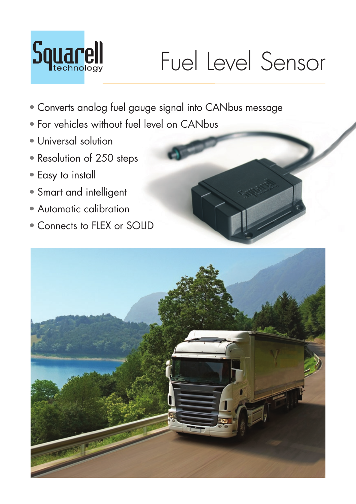

## Fuel Level Sensor

- Converts analog fuel gauge signal into CANbus message
- For vehicles without fuel level on CANbus
- Universal solution
- Resolution of 250 steps
- Easy to install
- Smart and intelligent
- Automatic calibration
- Connects to FIFX or SOIID